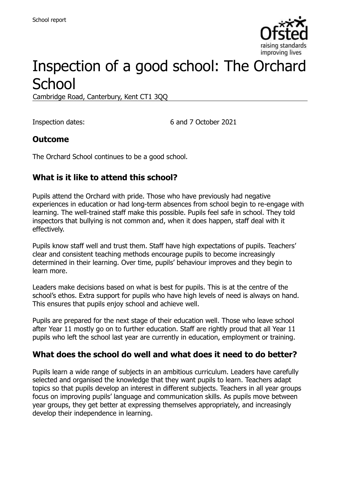

# Inspection of a good school: The Orchard **School**

Cambridge Road, Canterbury, Kent CT1 3QQ

Inspection dates: 6 and 7 October 2021

### **Outcome**

The Orchard School continues to be a good school.

## **What is it like to attend this school?**

Pupils attend the Orchard with pride. Those who have previously had negative experiences in education or had long-term absences from school begin to re-engage with learning. The well-trained staff make this possible. Pupils feel safe in school. They told inspectors that bullying is not common and, when it does happen, staff deal with it effectively.

Pupils know staff well and trust them. Staff have high expectations of pupils. Teachers' clear and consistent teaching methods encourage pupils to become increasingly determined in their learning. Over time, pupils' behaviour improves and they begin to learn more.

Leaders make decisions based on what is best for pupils. This is at the centre of the school's ethos. Extra support for pupils who have high levels of need is always on hand. This ensures that pupils enjoy school and achieve well.

Pupils are prepared for the next stage of their education well. Those who leave school after Year 11 mostly go on to further education. Staff are rightly proud that all Year 11 pupils who left the school last year are currently in education, employment or training.

### **What does the school do well and what does it need to do better?**

Pupils learn a wide range of subjects in an ambitious curriculum. Leaders have carefully selected and organised the knowledge that they want pupils to learn. Teachers adapt topics so that pupils develop an interest in different subjects. Teachers in all year groups focus on improving pupils' language and communication skills. As pupils move between year groups, they get better at expressing themselves appropriately, and increasingly develop their independence in learning.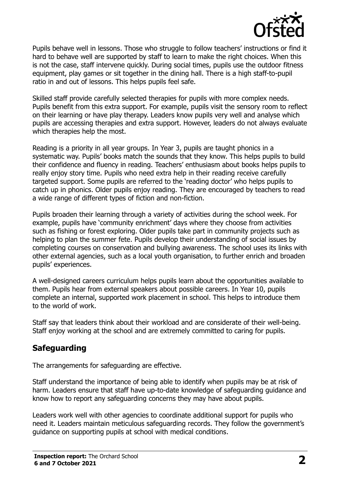

Pupils behave well in lessons. Those who struggle to follow teachers' instructions or find it hard to behave well are supported by staff to learn to make the right choices. When this is not the case, staff intervene quickly. During social times, pupils use the outdoor fitness equipment, play games or sit together in the dining hall. There is a high staff-to-pupil ratio in and out of lessons. This helps pupils feel safe.

Skilled staff provide carefully selected therapies for pupils with more complex needs. Pupils benefit from this extra support. For example, pupils visit the sensory room to reflect on their learning or have play therapy. Leaders know pupils very well and analyse which pupils are accessing therapies and extra support. However, leaders do not always evaluate which therapies help the most.

Reading is a priority in all year groups. In Year 3, pupils are taught phonics in a systematic way. Pupils' books match the sounds that they know. This helps pupils to build their confidence and fluency in reading. Teachers' enthusiasm about books helps pupils to really enjoy story time. Pupils who need extra help in their reading receive carefully targeted support. Some pupils are referred to the 'reading doctor' who helps pupils to catch up in phonics. Older pupils enjoy reading. They are encouraged by teachers to read a wide range of different types of fiction and non-fiction.

Pupils broaden their learning through a variety of activities during the school week. For example, pupils have 'community enrichment' days where they choose from activities such as fishing or forest exploring. Older pupils take part in community projects such as helping to plan the summer fete. Pupils develop their understanding of social issues by completing courses on conservation and bullying awareness. The school uses its links with other external agencies, such as a local youth organisation, to further enrich and broaden pupils' experiences.

A well-designed careers curriculum helps pupils learn about the opportunities available to them. Pupils hear from external speakers about possible careers. In Year 10, pupils complete an internal, supported work placement in school. This helps to introduce them to the world of work.

Staff say that leaders think about their workload and are considerate of their well-being. Staff enjoy working at the school and are extremely committed to caring for pupils.

## **Safeguarding**

The arrangements for safeguarding are effective.

Staff understand the importance of being able to identify when pupils may be at risk of harm. Leaders ensure that staff have up-to-date knowledge of safeguarding guidance and know how to report any safeguarding concerns they may have about pupils.

Leaders work well with other agencies to coordinate additional support for pupils who need it. Leaders maintain meticulous safeguarding records. They follow the government's guidance on supporting pupils at school with medical conditions.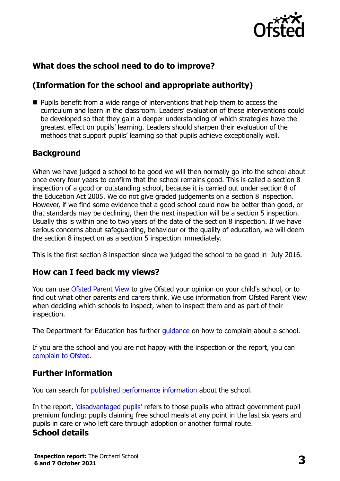

## **What does the school need to do to improve?**

## **(Information for the school and appropriate authority)**

**Pupils benefit from a wide range of interventions that help them to access the** curriculum and learn in the classroom. Leaders' evaluation of these interventions could be developed so that they gain a deeper understanding of which strategies have the greatest effect on pupils' learning. Leaders should sharpen their evaluation of the methods that support pupils' learning so that pupils achieve exceptionally well.

### **Background**

When we have judged a school to be good we will then normally go into the school about once every four years to confirm that the school remains good. This is called a section 8 inspection of a good or outstanding school, because it is carried out under section 8 of the Education Act 2005. We do not give graded judgements on a section 8 inspection. However, if we find some evidence that a good school could now be better than good, or that standards may be declining, then the next inspection will be a section 5 inspection. Usually this is within one to two years of the date of the section 8 inspection. If we have serious concerns about safeguarding, behaviour or the quality of education, we will deem the section 8 inspection as a section 5 inspection immediately.

This is the first section 8 inspection since we judged the school to be good in July 2016.

### **How can I feed back my views?**

You can use [Ofsted Parent View](https://parentview.ofsted.gov.uk/) to give Ofsted your opinion on your child's school, or to find out what other parents and carers think. We use information from Ofsted Parent View when deciding which schools to inspect, when to inspect them and as part of their inspection.

The Department for Education has further quidance on how to complain about a school.

If you are the school and you are not happy with the inspection or the report, you can [complain to Ofsted.](https://www.gov.uk/complain-ofsted-report)

### **Further information**

You can search for [published performance information](http://www.compare-school-performance.service.gov.uk/) about the school.

In the report, ['disadvantaged pupils'](http://www.gov.uk/guidance/pupil-premium-information-for-schools-and-alternative-provision-settings) refers to those pupils who attract government pupil premium funding: pupils claiming free school meals at any point in the last six years and pupils in care or who left care through adoption or another formal route.

## **School details**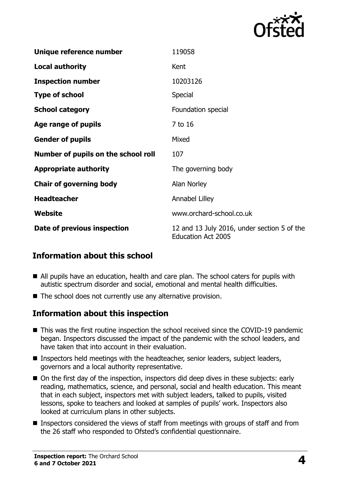

| Unique reference number             | 119058                                                                   |
|-------------------------------------|--------------------------------------------------------------------------|
| <b>Local authority</b>              | Kent                                                                     |
| <b>Inspection number</b>            | 10203126                                                                 |
| <b>Type of school</b>               | <b>Special</b>                                                           |
| <b>School category</b>              | Foundation special                                                       |
| Age range of pupils                 | 7 to 16                                                                  |
| <b>Gender of pupils</b>             | Mixed                                                                    |
| Number of pupils on the school roll | 107                                                                      |
| <b>Appropriate authority</b>        | The governing body                                                       |
| <b>Chair of governing body</b>      | Alan Norley                                                              |
| <b>Headteacher</b>                  | Annabel Lilley                                                           |
| Website                             | www.orchard-school.co.uk                                                 |
| Date of previous inspection         | 12 and 13 July 2016, under section 5 of the<br><b>Education Act 2005</b> |

### **Information about this school**

- All pupils have an education, health and care plan. The school caters for pupils with autistic spectrum disorder and social, emotional and mental health difficulties.
- The school does not currently use any alternative provision.

### **Information about this inspection**

- This was the first routine inspection the school received since the COVID-19 pandemic began. Inspectors discussed the impact of the pandemic with the school leaders, and have taken that into account in their evaluation.
- **Inspectors held meetings with the headteacher, senior leaders, subject leaders,** governors and a local authority representative.
- On the first day of the inspection, inspectors did deep dives in these subjects: early reading, mathematics, science, and personal, social and health education. This meant that in each subject, inspectors met with subject leaders, talked to pupils, visited lessons, spoke to teachers and looked at samples of pupils' work. Inspectors also looked at curriculum plans in other subjects.
- **Inspectors considered the views of staff from meetings with groups of staff and from** the 26 staff who responded to Ofsted's confidential questionnaire.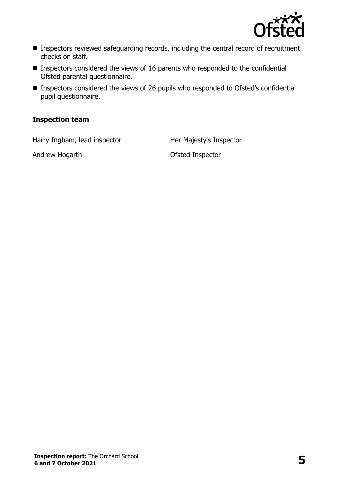

- **Inspectors reviewed safeguarding records, including the central record of recruitment** checks on staff.
- $\blacksquare$  Inspectors considered the views of 16 parents who responded to the confidential Ofsted parental questionnaire.
- Inspectors considered the views of 26 pupils who responded to Ofsted's confidential pupil questionnaire.

#### **Inspection team**

Harry Ingham, lead inspector Her Majesty's Inspector

Andrew Hogarth **Canadian Construction Construction** Ofsted Inspector